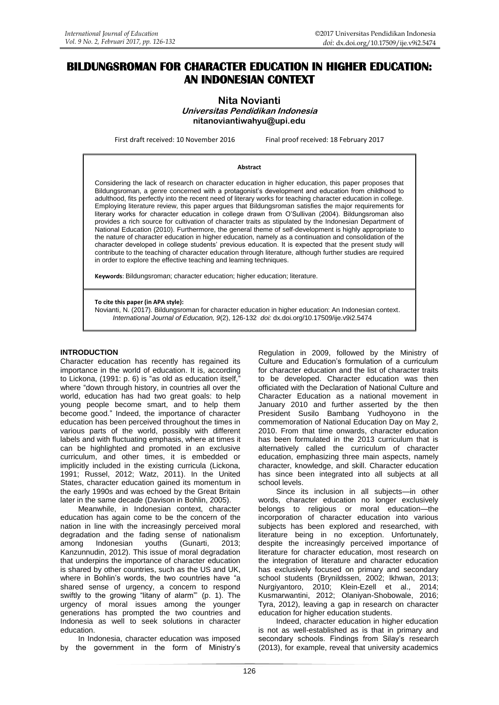# **BILDUNGSROMAN FOR CHARACTER EDUCATION IN HIGHER EDUCATION: AN INDONESIAN CONTEXT**

# **Nita Novianti Universitas Pendidikan Indonesia [nitanoviantiwahyu@upi.edu](mailto:nitanoviantiwahyu@upi.edu)**

First draft received: 10 November 2016 Final proof received: 18 February 2017

#### **Abstract**

Considering the lack of research on character education in higher education, this paper proposes that Bildungsroman, a genre concerned with a protagonist's development and education from childhood to adulthood, fits perfectly into the recent need of literary works for teaching character education in college. Employing literature review, this paper argues that Bildungsroman satisfies the major requirements for literary works for character education in college drawn from O'Sullivan (2004). Bildungsroman also provides a rich source for cultivation of character traits as stipulated by the Indonesian Department of National Education (2010). Furthermore, the general theme of self-development is highly appropriate to the nature of character education in higher education, namely as a continuation and consolidation of the character developed in college students' previous education. It is expected that the present study will contribute to the teaching of character education through literature, although further studies are required in order to explore the effective teaching and learning techniques.

**Keywords**: Bildungsroman; character education; higher education; literature.

**To cite this paper (in APA style):**

Novianti, N. (2017). Bildungsroman for character education in higher education: An Indonesian context. *International Journal of Education, 9*(2), 126-132 *doi:* [dx.doi.org/10.17509/ije.v9i2.5474](http://dx.doi.org/10.17509/ije.v9i2.5474)

#### **INTRODUCTION**

Character education has recently has regained its importance in the world of education. It is, according to Lickona,  $(1991: p. 6)$  is "as old as education itself," where "down through history, in countries all over the world, education has had two great goals: to help young people become smart, and to help them become good." Indeed, the importance of character education has been perceived throughout the times in various parts of the world, possibly with different labels and with fluctuating emphasis, where at times it can be highlighted and promoted in an exclusive curriculum, and other times, it is embedded or implicitly included in the existing curricula (Lickona, 1991; Russel, 2012; Watz, 2011). In the United States, character education gained its momentum in the early 1990s and was echoed by the Great Britain later in the same decade (Davison in Bohlin, 2005).

Meanwhile, in Indonesian context, character education has again come to be the concern of the nation in line with the increasingly perceived moral degradation and the fading sense of nationalism among Indonesian youths (Gunarti, 2013; Kanzunnudin, 2012). This issue of moral degradation that underpins the importance of character education is shared by other countries, such as the US and UK, where in Bohlin's words, the two countries have "a shared sense of urgency, a concern to respond swiftly to the growing "litany of alarm" (p. 1). The urgency of moral issues among the younger generations has prompted the two countries and Indonesia as well to seek solutions in character education.

In Indonesia, character education was imposed by the government in the form of Ministry's

Regulation in 2009, followed by the Ministry of Culture and Education's formulation of a curriculum for character education and the list of character traits to be developed. Character education was then officiated with the Declaration of National Culture and Character Education as a national movement in January 2010 and further asserted by the then President Susilo Bambang Yudhoyono in the commemoration of National Education Day on May 2, 2010. From that time onwards, character education has been formulated in the 2013 curriculum that is alternatively called the curriculum of character education, emphasizing three main aspects, namely character, knowledge, and skill. Character education has since been integrated into all subjects at all school levels.

Since its inclusion in all subjects—in other words, character education no longer exclusively belongs to religious or moral education—the incorporation of character education into various subjects has been explored and researched, with literature being in no exception. Unfortunately, despite the increasingly perceived importance of literature for character education, most research on the integration of literature and character education has exclusively focused on primary and secondary school students (Brynildssen, 2002; Ikhwan, 2013; Nurgiyantoro, 2010; Klein-Ezell et al., 2014; Kusmarwantini, 2012; Olaniyan-Shobowale, 2016; Tyra, 2012), leaving a gap in research on character education for higher education students.

Indeed, character education in higher education is not as well-established as is that in primary and secondary schools. Findings from Silay's research (2013), for example, reveal that university academics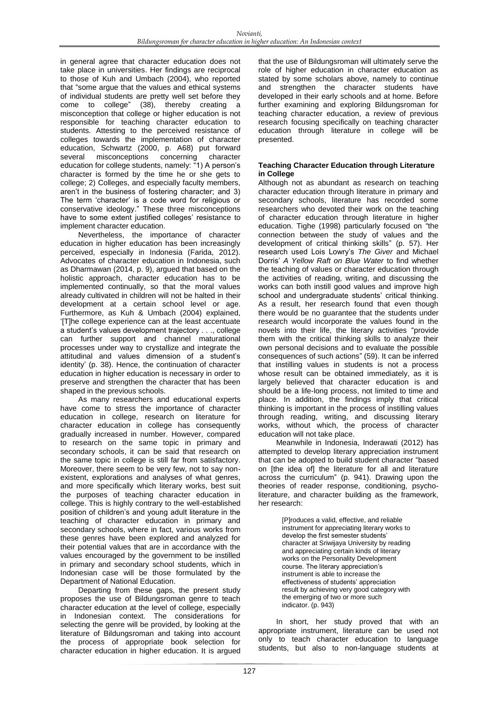in general agree that character education does not take place in universities. Her findings are reciprocal to those of Kuh and Umbach (2004), who reported that "some argue that the values and ethical systems of individual students are pretty well set before they come to college" (38), thereby creating a misconception that college or higher education is not responsible for teaching character education to students. Attesting to the perceived resistance of colleges towards the implementation of character education, Schwartz (2000, p. A68) put forward several misconceptions concerning character education for college students, namely: "1) A person's character is formed by the time he or she gets to college; 2) Colleges, and especially faculty members, aren't in the business of fostering character; and 3) The term 'character' is a code word for religious or conservative ideology." These three misconceptions have to some extent justified colleges' resistance to implement character education.

Nevertheless, the importance of character education in higher education has been increasingly perceived, especially in Indonesia (Farida, 2012). Advocates of character education in Indonesia, such as Dharmawan (2014, p. 9), argued that based on the holistic approach, character education has to be implemented continually, so that the moral values already cultivated in children will not be halted in their development at a certain school level or age. Furthermore, as Kuh & Umbach (2004) explained, ‗[T]he college experience can at the least accentuate a student's values development trajectory . . ., college can further support and channel maturational processes under way to crystallize and integrate the attitudinal and values dimension of a student's identity' (p. 38). Hence, the continuation of character education in higher education is necessary in order to preserve and strengthen the character that has been shaped in the previous schools.

As many researchers and educational experts have come to stress the importance of character education in college, research on literature for character education in college has consequently gradually increased in number. However, compared to research on the same topic in primary and secondary schools, it can be said that research on the same topic in college is still far from satisfactory. Moreover, there seem to be very few, not to say nonexistent, explorations and analyses of what genres, and more specifically which literary works, best suit the purposes of teaching character education in college. This is highly contrary to the well-established position of children's and young adult literature in the teaching of character education in primary and secondary schools, where in fact, various works from these genres have been explored and analyzed for their potential values that are in accordance with the values encouraged by the government to be instilled in primary and secondary school students, which in Indonesian case will be those formulated by the Department of National Education.

Departing from these gaps, the present study proposes the use of Bildungsroman genre to teach character education at the level of college, especially in Indonesian context. The considerations for selecting the genre will be provided, by looking at the literature of Bildungsroman and taking into account the process of appropriate book selection for character education in higher education. It is argued

that the use of Bildungsroman will ultimately serve the role of higher education in character education as stated by some scholars above, namely to continue and strengthen the character students have developed in their early schools and at home. Before further examining and exploring Bildungsroman for teaching character education, a review of previous research focusing specifically on teaching character education through literature in college will be presented.

# **Teaching Character Education through Literature in College**

Although not as abundant as research on teaching character education through literature in primary and secondary schools, literature has recorded some researchers who devoted their work on the teaching of character education through literature in higher education. Tighe (1998) particularly focused on "the connection between the study of values and the development of critical thinking skills" (p. 57). Her research used Lois Lowry's *The Giver* and Michael Dorris' *A Yellow Raft on Blue Water* to find whether the teaching of values or character education through the activities of reading, writing, and discussing the works can both instill good values and improve high school and undergraduate students' critical thinking. As a result, her research found that even though there would be no guarantee that the students under research would incorporate the values found in the novels into their life, the literary activities "provide them with the critical thinking skills to analyze their own personal decisions and to evaluate the possible consequences of such actions" (59). It can be inferred that instilling values in students is not a process whose result can be obtained immediately, as it is largely believed that character education is and should be a life-long process, not limited to time and place. In addition, the findings imply that critical thinking is important in the process of instilling values through reading, writing, and discussing literary works, without which, the process of character education will not take place.

Meanwhile in Indonesia, Inderawati (2012) has attempted to develop literary appreciation instrument that can be adopted to build student character "based on [the idea of] the literature for all and literature across the curriculum" (p. 941). Drawing upon the theories of reader response, conditioning, psycholiterature, and character building as the framework, her research:

> [P]roduces a valid, effective, and reliable instrument for appreciating literary works to develop the first semester students' character at Sriwijaya University by reading and appreciating certain kinds of literary works on the Personality Development course. The literary appreciation's instrument is able to increase the effectiveness of students' appreciation result by achieving very good category with the emerging of two or more such indicator. (p. 943)

In short, her study proved that with an appropriate instrument, literature can be used not only to teach character education to language students, but also to non-language students at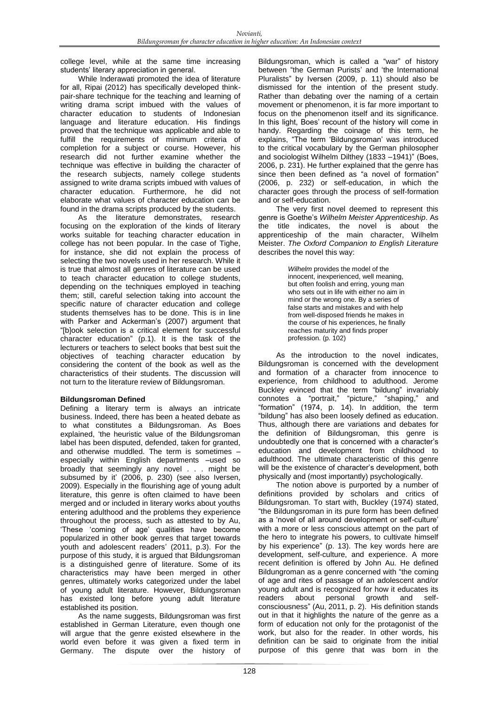college level, while at the same time increasing students' literary appreciation in general.

While Inderawati promoted the idea of literature for all, Ripai (2012) has specifically developed thinkpair-share technique for the teaching and learning of writing drama script imbued with the values of character education to students of Indonesian language and literature education. His findings proved that the technique was applicable and able to fulfill the requirements of minimum criteria of completion for a subject or course. However, his research did not further examine whether the technique was effective in building the character of the research subjects, namely college students assigned to write drama scripts imbued with values of character education. Furthermore, he did not elaborate what values of character education can be found in the drama scripts produced by the students.

As the literature demonstrates, research focusing on the exploration of the kinds of literary works suitable for teaching character education in college has not been popular. In the case of Tighe, for instance, she did not explain the process of selecting the two novels used in her research. While it is true that almost all genres of literature can be used to teach character education to college students, depending on the techniques employed in teaching them; still, careful selection taking into account the specific nature of character education and college students themselves has to be done. This is in line with Parker and Ackerman's (2007) argument that ―[b]ook selection is a critical element for successful character education" (p.1). It is the task of the lecturers or teachers to select books that best suit the objectives of teaching character education by considering the content of the book as well as the characteristics of their students. The discussion will not turn to the literature review of Bildungsroman.

# **Bildungsroman Defined**

Defining a literary term is always an intricate business. Indeed, there has been a heated debate as to what constitutes a Bildungsroman. As Boes explained, 'the heuristic value of the Bildungsroman label has been disputed, defended, taken for granted, and otherwise muddled. The term is sometimes – especially within English departments –used so broadly that seemingly any novel . . . might be subsumed by it' (2006, p. 230) (see also Iversen, 2009). Especially in the flourishing age of young adult literature, this genre is often claimed to have been merged and or included in literary works about youths entering adulthood and the problems they experience throughout the process, such as attested to by Au, 'These 'coming of age' qualities have become popularized in other book genres that target towards youth and adolescent readers' (2011, p.3). For the purpose of this study, it is argued that Bildungsroman is a distinguished genre of literature. Some of its characteristics may have been merged in other genres, ultimately works categorized under the label of young adult literature. However, Bildungsroman has existed long before young adult literature established its position.

As the name suggests, Bildungsroman was first established in German Literature, even though one will argue that the genre existed elsewhere in the world even before it was given a fixed term in Germany. The dispute over the history of

Bildungsroman, which is called a "war" of history between "the German Purists' and 'the International Pluralists" by Iversen (2009, p. 11) should also be dismissed for the intention of the present study. Rather than debating over the naming of a certain movement or phenomenon, it is far more important to focus on the phenomenon itself and its significance. In this light, Boes' recount of the history will come in handy. Regarding the coinage of this term, he explains, "The term 'Bildungsroman' was introduced to the critical vocabulary by the German philosopher and sociologist Wilhelm Dilthey (1833 -1941)" (Boes, 2006, p. 231). He further explained that the genre has since then been defined as "a novel of formation" (2006, p. 232) or self-education, in which the character goes through the process of self-formation and or self-education.

The very first novel deemed to represent this genre is Goethe's *Wilhelm Meister Apprenticeship*. As the title indicates, the novel is about the apprenticeship of the main character, Wilhelm Meister. *The Oxford Companion to English Literature*  describes the novel this way:

> *Wilhelm* provides the model of the innocent, inexperienced, well meaning, but often foolish and erring, young man who sets out in life with either no aim in mind or the wrong one. By a series of false starts and mistakes and with help from well-disposed friends he makes in the course of his experiences, he finally reaches maturity and finds proper profession. (p. 102)

As the introduction to the novel indicates, Bildungsroman is concerned with the development and formation of a character from innocence to experience, from childhood to adulthood. Jerome Buckley evinced that the term "bildung" invariably connotes a "portrait," "picture," "shaping," and ―formation‖ (1974, p. 14). In addition, the term "bildung" has also been loosely defined as education. Thus, although there are variations and debates for the definition of Bildungsroman, this genre is undoubtedly one that is concerned with a character's education and development from childhood to adulthood. The ultimate characteristic of this genre will be the existence of character's development, both physically and (most importantly) psychologically.

The notion above is purported by a number of definitions provided by scholars and critics of Bildungsroman. To start with, Buckley (1974) stated, "the Bildungsroman in its pure form has been defined as a 'novel of all around development or self-culture' with a more or less conscious attempt on the part of the hero to integrate his powers, to cultivate himself by his experience" (p. 13). The key words here are development, self-culture, and experience. A more recent definition is offered by John Au. He defined Bildungroman as a genre concerned with "the coming of age and rites of passage of an adolescent and/or young adult and is recognized for how it educates its readers about personal growth and selfconsciousness‖ (Au, 2011, p. 2). His definition stands out in that it highlights the nature of the genre as a form of education not only for the protagonist of the work, but also for the reader. In other words, his definition can be said to originate from the initial purpose of this genre that was born in the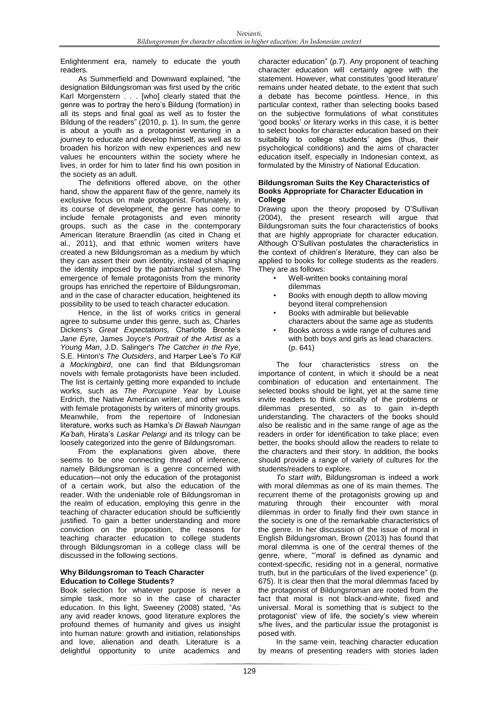Enlightenment era, namely to educate the youth readers.

As Summerfield and Downward explained, "the designation Bildungsroman was first used by the critic Karl Morgenstern . . . [who] clearly stated that the genre was to portray the hero's Bildung (formation) in all its steps and final goal as well as to foster the Bildung of the readers" (2010, p. 1). In sum, the genre is about a youth as a protagonist venturing in a journey to educate and develop himself, as well as to broaden his horizon with new experiences and new values he encounters within the society where he lives, in order for him to later find his own position in the society as an adult.

The definitions offered above, on the other hand, show the apparent flaw of the genre, namely its exclusive focus on male protagonist. Fortunately, in its course of development, the genre has come to include female protagonists and even minority groups, such as the case in the contemporary American literature Braendlin (as cited in Chang et al., 2011), and that ethnic women writers have created a new Bildungsroman as a medium by which they can assert their own identity, instead of shaping the identity imposed by the patriarchal system. The emergence of female protagonists from the minority groups has enriched the repertoire of Bildungsroman, and in the case of character education, heightened its possibility to be used to teach character education.

Hence, in the list of works critics in general agree to subsume under this genre, such as, Charles Dickens's *Great Expectations,* Charlotte Bronte's *Jane Eyre*, James Joyce's *Portrait of the Artist as a Young Man*, J.D. Salinger's *The Catcher in the Rye*, S.E. Hinton's *The Outsiders*, and Harper Lee's *To Kill a Mockingbird*, one can find that Bildungsroman novels with female protagonists have been included. The list is certainly getting more expanded to include works, such as *The Porcupine Year* by Louise Erdrich, the Native American writer, and other works with female protagonists by writers of minority groups. Meanwhile, from the repertoire of Indonesian literature, works such as Hamka's *Di Bawah Naungan Ka'bah*, Hirata's *Laskar Pelangi* and its trilogy can be loosely categorized into the genre of Bildungsroman.

From the explanations given above, there seems to be one connecting thread of inference, namely Bildungsroman is a genre concerned with education—not only the education of the protagonist of a certain work, but also the education of the reader. With the undeniable role of Bildungsroman in the realm of education, employing this genre in the teaching of character education should be sufficiently justified. To gain a better understanding and more conviction on the proposition, the reasons for teaching character education to college students through Bildungsroman in a college class will be discussed in the following sections.

# **Why Bildungsroman to Teach Character Education to College Students?**

Book selection for whatever purpose is never a simple task, more so in the case of character education. In this light, Sweeney (2008) stated, "As any avid reader knows, good literature explores the profound themes of humanity and gives us insight into human nature: growth and initiation, relationships and love, alienation and death. Literature is a delightful opportunity to unite academics and

character education" (p.7). Any proponent of teaching character education will certainly agree with the statement. However, what constitutes 'good literature' remains under heated debate, to the extent that such a debate has become pointless. Hence, in this particular context, rather than selecting books based on the subjective formulations of what constitutes ‗good books' or literary works in this case, it is better to select books for character education based on their suitability to college students' ages (thus, their psychological conditions) and the aims of character education itself, especially in Indonesian context, as formulated by the Ministry of National Education.

#### **Bildungsroman Suits the Key Characteristics of Books Appropriate for Character Education in College**

Drawing upon the theory proposed by O'Sullivan (2004), the present research will argue that Bildungsroman suits the four characteristics of books that are highly appropriate for character education. Although O'Sullivan postulates the characteristics in the context of children's literature, they can also be applied to books for college students as the readers. They are as follows:

- Well-written books containing moral dilemmas
- Books with enough depth to allow moving beyond literal comprehension
- Books with admirable but believable characters about the same age as students
- Books across a wide range of cultures and with both boys and girls as lead characters. (p. 641)

The four characteristics stress on the importance of content, in which it should be a neat combination of education and entertainment. The selected books should be light, yet at the same time invite readers to think critically of the problems or dilemmas presented, so as to gain in-depth understanding. The characters of the books should also be realistic and in the same range of age as the readers in order for identification to take place; even better, the books should allow the readers to relate to the characters and their story. In addition, the books should provide a range of variety of cultures for the students/readers to explore.

*To start with*, Bildungsroman is indeed a work with moral dilemmas as one of its main themes. The recurrent theme of the protagonists growing up and maturing through their encounter with moral dilemmas in order to finally find their own stance in the society is one of the remarkable characteristics of the genre. In her discussion of the issue of moral in English Bildungsroman, Brown (2013) has found that moral dilemma is one of the central themes of the genre, where, "moral' is defined as dynamic and context-specific, residing not in a general, normative truth, but in the particulars of the lived experience" (p. 675). It is clear then that the moral dilemmas faced by the protagonist of Bildungsroman are rooted from the fact that moral is not black-and-white, fixed and universal. Moral is something that is subject to the protagonist' view of life, the society's view wherein s/he lives, and the particular issue the protagonist is posed with.

In the same vein, teaching character education by means of presenting readers with stories laden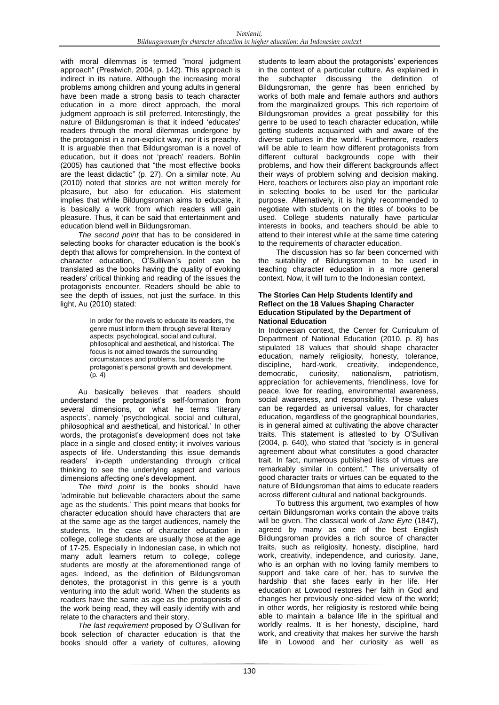with moral dilemmas is termed "moral judgment approach‖ (Prestwich, 2004, p. 142). This approach is indirect in its nature. Although the increasing moral problems among children and young adults in general have been made a strong basis to teach character education in a more direct approach, the moral judgment approach is still preferred. Interestingly, the nature of Bildungsroman is that it indeed 'educates' readers through the moral dilemmas undergone by the protagonist in a non-explicit way, nor it is preachy. It is arguable then that Bildungsroman is a novel of education, but it does not 'preach' readers. Bohlin (2005) has cautioned that "the most effective books are the least didactic" (p. 27). On a similar note, Au (2010) noted that stories are not written merely for pleasure, but also for education. His statement implies that while Bildungsroman aims to educate, it is basically a work from which readers will gain pleasure. Thus, it can be said that entertainment and education blend well in Bildungsroman.

*The second point* that has to be considered in selecting books for character education is the book's depth that allows for comprehension. In the context of character education, O'Sullivan's point can be translated as the books having the quality of evoking readers' critical thinking and reading of the issues the protagonists encounter. Readers should be able to see the depth of issues, not just the surface. In this light, Au (2010) stated:

> In order for the novels to educate its readers, the genre must inform them through several literary aspects: psychological, social and cultural, philosophical and aesthetical, and historical. The focus is not aimed towards the surrounding circumstances and problems, but towards the protagonist's personal growth and development. (p. 4)

Au basically believes that readers should understand the protagonist's self-formation from several dimensions, or what he terms 'literary aspects', namely 'psychological, social and cultural, philosophical and aesthetical, and historical.' In other words, the protagonist's development does not take place in a single and closed entity; it involves various aspects of life. Understanding this issue demands readers' in-depth understanding through critical thinking to see the underlying aspect and various dimensions affecting one's development.

*The third point* is the books should have 'admirable but believable characters about the same age as the students.' This point means that books for character education should have characters that are at the same age as the target audiences, namely the students. In the case of character education in college, college students are usually those at the age of 17-25. Especially in Indonesian case, in which not many adult learners return to college, college students are mostly at the aforementioned range of ages. Indeed, as the definition of Bildungsroman denotes, the protagonist in this genre is a youth venturing into the adult world. When the students as readers have the same as age as the protagonists of the work being read, they will easily identify with and relate to the characters and their story.

*The last requirement* proposed by O'Sullivan for book selection of character education is that the books should offer a variety of cultures, allowing students to learn about the protagonists' experiences in the context of a particular culture. As explained in the subchapter discussing the definition of Bildungsroman, the genre has been enriched by works of both male and female authors and authors from the marginalized groups. This rich repertoire of Bildungsroman provides a great possibility for this genre to be used to teach character education, while getting students acquainted with and aware of the diverse cultures in the world. Furthermore, readers will be able to learn how different protagonists from different cultural backgrounds cope with their problems, and how their different backgrounds affect their ways of problem solving and decision making. Here, teachers or lecturers also play an important role in selecting books to be used for the particular purpose. Alternatively, it is highly recommended to negotiate with students on the titles of books to be used. College students naturally have particular interests in books, and teachers should be able to attend to their interest while at the same time catering to the requirements of character education.

The discussion has so far been concerned with the suitability of Bildungsroman to be used in teaching character education in a more general context. Now, it will turn to the Indonesian context.

#### **The Stories Can Help Students Identify and Reflect on the 18 Values Shaping Character Education Stipulated by the Department of National Education**

In Indonesian context, the Center for Curriculum of Department of National Education (2010, p. 8) has stipulated 18 values that should shape character education, namely religiosity, honesty, tolerance, discipline, hard-work, creativity, independence, democratic, curiosity, nationalism, patriotism, democratic, curiosity, nationalism, patriotism, appreciation for achievements, friendliness, love for peace, love for reading, environmental awareness, social awareness, and responsibility. These values can be regarded as universal values, for character education, regardless of the geographical boundaries, is in general aimed at cultivating the above character traits. This statement is attested to by O'Sullivan (2004, p. 640), who stated that "society is in general agreement about what constitutes a good character trait. In fact, numerous published lists of virtues are remarkably similar in content." The universality of good character traits or virtues can be equated to the nature of Bildungsroman that aims to educate readers across different cultural and national backgrounds.

To buttress this argument, two examples of how certain Bildungsroman works contain the above traits will be given. The classical work of *Jane Eyre* (1847), agreed by many as one of the best English Bildungsroman provides a rich source of character traits, such as religiosity, honesty, discipline, hard work, creativity, independence, and curiosity. Jane, who is an orphan with no loving family members to support and take care of her, has to survive the hardship that she faces early in her life. Her education at Lowood restores her faith in God and changes her previously one-sided view of the world; in other words, her religiosity is restored while being able to maintain a balance life in the spiritual and worldly realms. It is her honesty, discipline, hard work, and creativity that makes her survive the harsh life in Lowood and her curiosity as well as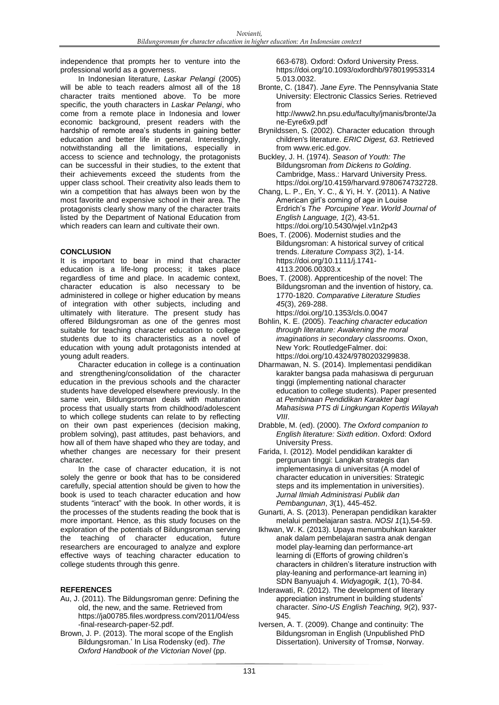independence that prompts her to venture into the professional world as a governess.

In Indonesian literature, *Laskar Pelangi* (2005) will be able to teach readers almost all of the 18 character traits mentioned above. To be more specific, the youth characters in *Laskar Pelangi*, who come from a remote place in Indonesia and lower economic background, present readers with the hardship of remote area's students in gaining better education and better life in general. Interestingly, notwithstanding all the limitations, especially in access to science and technology, the protagonists can be successful in their studies, to the extent that their achievements exceed the students from the upper class school. Their creativity also leads them to win a competition that has always been won by the most favorite and expensive school in their area. The protagonists clearly show many of the character traits listed by the Department of National Education from which readers can learn and cultivate their own.

# **CONCLUSION**

It is important to bear in mind that character education is a life-long process; it takes place regardless of time and place. In academic context, character education is also necessary to be administered in college or higher education by means of integration with other subjects, including and ultimately with literature. The present study has offered Bildungsroman as one of the genres most suitable for teaching character education to college students due to its characteristics as a novel of education with young adult protagonists intended at young adult readers.

Character education in college is a continuation and strengthening/consolidation of the character education in the previous schools and the character students have developed elsewhere previously. In the same vein, Bildungsroman deals with maturation process that usually starts from childhood/adolescent to which college students can relate to by reflecting on their own past experiences (decision making, problem solving), past attitudes, past behaviors, and how all of them have shaped who they are today, and whether changes are necessary for their present character.

In the case of character education, it is not solely the genre or book that has to be considered carefully, special attention should be given to how the book is used to teach character education and how students "interact" with the book. In other words, it is the processes of the students reading the book that is more important. Hence, as this study focuses on the exploration of the potentials of Bildungsroman serving the teaching of character education, future researchers are encouraged to analyze and explore effective ways of teaching character education to college students through this genre.

# **REFERENCES**

- Au, J. (2011). The Bildungsroman genre: Defining the old, the new, and the same. Retrieved from [https://ja00785.files.wordpress.com/2011/04/ess](https://ja00785.files.wordpress.com/%092011/04/ess-final-research-paper-%0952.pdf) [-final-research-paper-52.pdf.](https://ja00785.files.wordpress.com/%092011/04/ess-final-research-paper-%0952.pdf)
- Brown, J. P. (2013). The moral scope of the English Bildungsroman.' In Lisa Rodensky (ed). *The Oxford Handbook of the Victorian Novel* (pp.

663-678)*.* Oxford: Oxford University Press. [https://doi.org/10.1093/oxfordhb/978019953314](https://doi.org/10.1093/oxfordhb/9780199533145.013.0032) [5.013.0032.](https://doi.org/10.1093/oxfordhb/9780199533145.013.0032)

Bronte, C. (1847). *Jane Eyre*. The Pennsylvania State University: Electronic Classics Series. Retrieved from

[http://www2.hn.psu.edu/faculty/jmanis/bronte/Ja](http://www2.hn.psu.edu/faculty/jmanis/bronte/Jane-Eyre6x9.pdf) [ne-Eyre6x9.pdf](http://www2.hn.psu.edu/faculty/jmanis/bronte/Jane-Eyre6x9.pdf)

Brynildssen, S. (2002). Character education through children's literature. *ERIC Digest, 63*. Retrieved from [www.eric.ed.gov.](http://www.eric.ed.gov/)

Buckley, J. H. (1974). *Season of Youth: The*  Bildungsroman *from Dickens to Golding*. Cambridge, Mass.: Harvard University Press. [https://doi.org/10.4159/harvard.97806](https://doi.org/10.4159/harvard.9780)74732728.

- Chang, L. P., En, Y. C., & Yi, H. Y. (2011). A Native American girl's coming of age in Louise Erdrich's *The Porcupine Year*. *World Journal of English Language, 1*(2), 43-51. https://doi.org/10.5430/wjel.v1n2p43
- Boes, T. (2006). Modernist studies and the Bildungsroman: A historical survey of critical trends. *Literature Compass 3*(2), 1-14. <https://doi.org/10.1111/j.1741-> 4113.2006.00303.x
- Boes, T. (2008). Apprenticeship of the novel: The Bildungsroman and the invention of history, ca. 1770-1820. *Comparative Literature Studies 45*(3), 269-288. https://doi.org/10.1353/cls.0.0047
- Bohlin, K. E. (2005). *Teaching character education through literature: Awakening the moral imaginations in secondary classrooms.* Oxon, New York: RoutledgeFalmer. doi: [https://doi.org/10.4324/978020329983](https://doi.org/10.4324/97802032998)8.
- Dharmawan, N. S. (2014). Implementasi pendidikan karakter bangsa pada mahasiswa di perguruan tinggi (implementing national character education to college students). Paper presented at *Pembinaan Pendidikan Karakter bagi Mahasiswa PTS di Lingkungan Kopertis Wilayah VIII*.
- Drabble, M. (ed). (2000). *The Oxford companion to English literature: Sixth edition*. Oxford: Oxford University Press.
- Farida, I. (2012). Model pendidikan karakter di perguruan tinggi: Langkah strategis dan implementasinya di universitas (A model of character education in universities: Strategic steps and its implementation in universities). *Jurnal Ilmiah Administrasi Publik dan Pembangunan*, *3*(1), 445-452.
- Gunarti, A. S. (2013). Penerapan pendidikan karakter melalui pembelajaran sastra. *NOSI 1*(1),54-59.
- Ikhwan, W. K. (2013). Upaya menumbuhkan karakter anak dalam pembelajaran sastra anak dengan model play-learning dan performance-art learning di (Efforts of growing children's characters in children's literature instruction with play-leaning and performance-art learning in) SDN Banyuajuh 4. *Widyagogik, 1*(1), 70-84.
- Inderawati, R. (2012). The development of literary appreciation instrument in building students' character. *Sino-US English Teaching, 9*(2), 937- 945.
- Iversen, A. T. (2009). Change and continuity: The Bildungsroman in English (Unpublished PhD Dissertation). University of Tromsø, Norway.